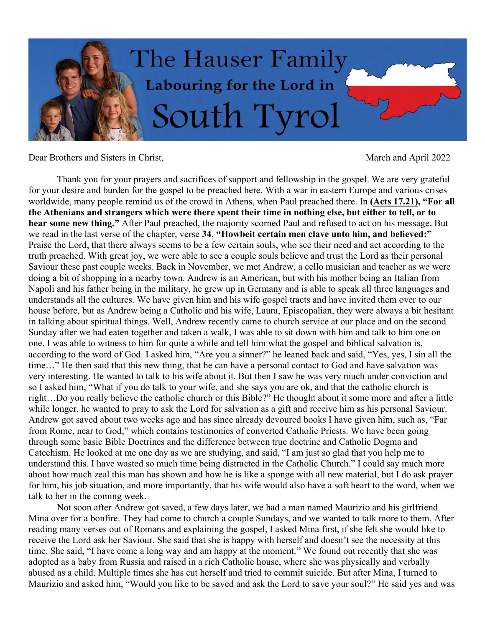

Dear Brothers and Sisters in Christ, March and April 2022

Thank you for your prayers and sacrifices of support and fellowship in the gospel. We are very grateful for your desire and burden for the gospel to be preached here. With a war in eastern Europe and various crises worldwide, many people remind us of the crowd in Athens, when Paul preached there. In **(Acts 17.21), "For all the Athenians and strangers which were there spent their time in nothing else, but either to tell, or to hear some new thing."** After Paul preached, the majority scorned Paul and refused to act on his message**.** But we read in the last verse of the chapter, verse **34**, **"Howbeit certain men clave unto him, and believed:"** Praise the Lord, that there always seems to be a few certain souls, who see their need and act according to the truth preached. With great joy, we were able to see a couple souls believe and trust the Lord as their personal Saviour these past couple weeks. Back in November, we met Andrew, a cello musician and teacher as we were doing a bit of shopping in a nearby town. Andrew is an American, but with his mother being an Italian from Napoli and his father being in the military, he grew up in Germany and is able to speak all three languages and understands all the cultures. We have given him and his wife gospel tracts and have invited them over to our house before, but as Andrew being a Catholic and his wife, Laura, Episcopalian, they were always a bit hesitant in talking about spiritual things. Well, Andrew recently came to church service at our place and on the second Sunday after we had eaten together and taken a walk, I was able to sit down with him and talk to him one on one. I was able to witness to him for quite a while and tell him what the gospel and biblical salvation is, according to the word of God. I asked him, "Are you a sinner?" he leaned back and said, "Yes, yes, I sin all the time…" He then said that this new thing, that he can have a personal contact to God and have salvation was very interesting. He wanted to talk to his wife about it. But then I saw he was very much under conviction and so I asked him, "What if you do talk to your wife, and she says you are ok, and that the catholic church is right…Do you really believe the catholic church or this Bible?" He thought about it some more and after a little while longer, he wanted to pray to ask the Lord for salvation as a gift and receive him as his personal Saviour. Andrew got saved about two weeks ago and has since already devoured books I have given him, such as, "Far from Rome, near to God," which contains testimonies of converted Catholic Priests. We have been going through some basic Bible Doctrines and the difference between true doctrine and Catholic Dogma and Catechism. He looked at me one day as we are studying, and said, "I am just so glad that you help me to understand this. I have wasted so much time being distracted in the Catholic Church." I could say much more about how much zeal this man has shown and how he is like a sponge with all new material, but I do ask prayer for him, his job situation, and more importantly, that his wife would also have a soft heart to the word, when we talk to her in the coming week.

Not soon after Andrew got saved, a few days later, we had a man named Maurizio and his girlfriend Mina over for a bonfire. They had come to church a couple Sundays, and we wanted to talk more to them. After reading many verses out of Romans and explaining the gospel, I asked Mina first, if she felt she would like to receive the Lord ask her Saviour. She said that she is happy with herself and doesn't see the necessity at this time. She said, "I have come a long way and am happy at the moment." We found out recently that she was adopted as a baby from Russia and raised in a rich Catholic house, where she was physically and verbally abused as a child. Multiple times she has cut herself and tried to commit suicide. But after Mina, I turned to Maurizio and asked him, "Would you like to be saved and ask the Lord to save your soul?" He said yes and was